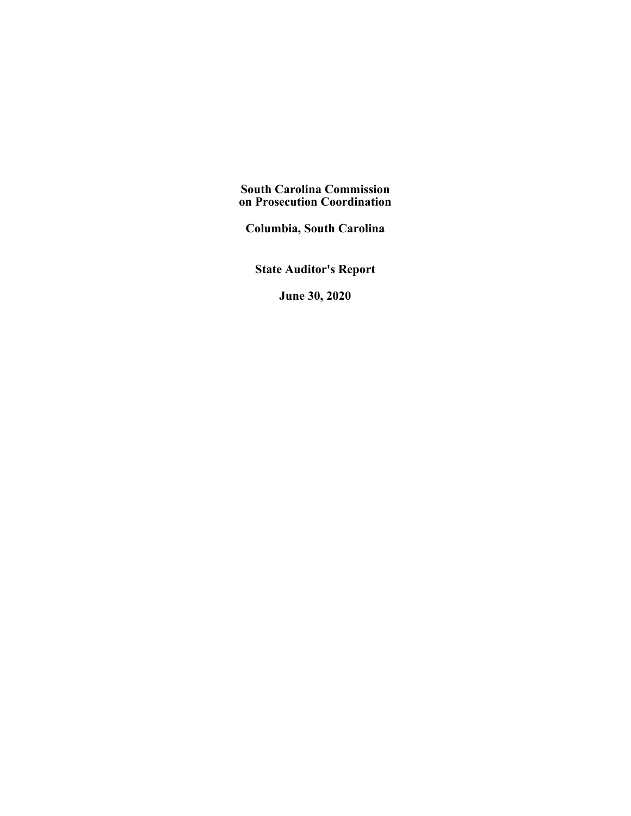**South Carolina Commission on Prosecution Coordination**

**Columbia, South Carolina**

**State Auditor's Report**

**June 30, 2020**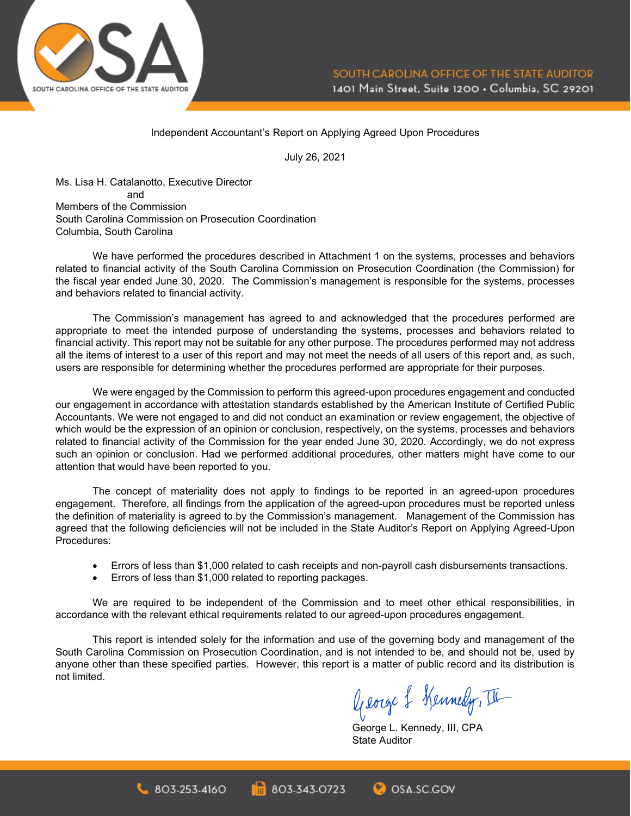

#### Independent Accountant's Report on Applying Agreed Upon Procedures

July 26, 2021

Ms. Lisa H. Catalanotto, Executive Director and Members of the Commission South Carolina Commission on Prosecution Coordination Columbia, South Carolina

We have performed the procedures described in Attachment 1 on the systems, processes and behaviors related to financial activity of the South Carolina Commission on Prosecution Coordination (the Commission) for the fiscal year ended June 30, 2020. The Commission's management is responsible for the systems, processes and behaviors related to financial activity.

The Commission's management has agreed to and acknowledged that the procedures performed are appropriate to meet the intended purpose of understanding the systems, processes and behaviors related to financial activity. This report may not be suitable for any other purpose. The procedures performed may not address all the items of interest to a user of this report and may not meet the needs of all users of this report and, as such, users are responsible for determining whether the procedures performed are appropriate for their purposes.

We were engaged by the Commission to perform this agreed-upon procedures engagement and conducted our engagement in accordance with attestation standards established by the American Institute of Certified Public Accountants. We were not engaged to and did not conduct an examination or review engagement, the objective of which would be the expression of an opinion or conclusion, respectively, on the systems, processes and behaviors related to financial activity of the Commission for the year ended June 30, 2020. Accordingly, we do not express such an opinion or conclusion. Had we performed additional procedures, other matters might have come to our attention that would have been reported to you.

The concept of materiality does not apply to findings to be reported in an agreed-upon procedures engagement. Therefore, all findings from the application of the agreed-upon procedures must be reported unless the definition of materiality is agreed to by the Commission's management. Management of the Commission has agreed that the following deficiencies will not be included in the State Auditor's Report on Applying Agreed-Upon Procedures:

- Errors of less than \$1,000 related to cash receipts and non-payroll cash disbursements transactions.
- Errors of less than \$1,000 related to reporting packages.

 $803.253.4160$ 

We are required to be independent of the Commission and to meet other ethical responsibilities, in accordance with the relevant ethical requirements related to our agreed-upon procedures engagement.

This report is intended solely for the information and use of the governing body and management of the South Carolina Commission on Prosecution Coordination, and is not intended to be, and should not be, used by anyone other than these specified parties. However, this report is a matter of public record and its distribution is not limited.

803-343-0723

George & Kennedy, III

George L. Kennedy, III, CPA State Auditor

**C**OSA.SC.GOV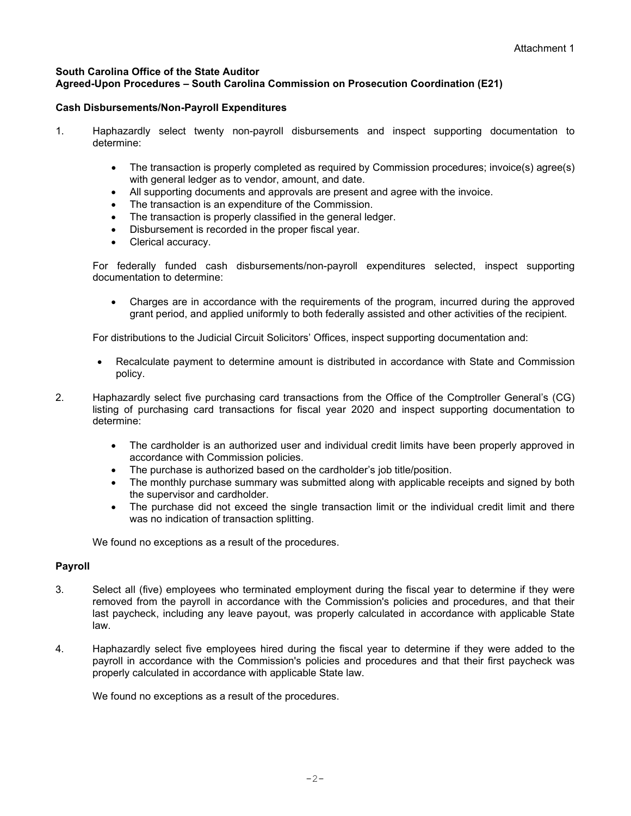### **South Carolina Office of the State Auditor Agreed-Upon Procedures – South Carolina Commission on Prosecution Coordination (E21)**

## **Cash Disbursements/Non-Payroll Expenditures**

- 1. Haphazardly select twenty non-payroll disbursements and inspect supporting documentation to determine:
	- The transaction is properly completed as required by Commission procedures; invoice(s) agree(s) with general ledger as to vendor, amount, and date.
	- All supporting documents and approvals are present and agree with the invoice.
	- The transaction is an expenditure of the Commission.
	- The transaction is properly classified in the general ledger.
	- Disbursement is recorded in the proper fiscal year.
	- Clerical accuracy.

For federally funded cash disbursements/non-payroll expenditures selected, inspect supporting documentation to determine:

• Charges are in accordance with the requirements of the program, incurred during the approved grant period, and applied uniformly to both federally assisted and other activities of the recipient.

For distributions to the Judicial Circuit Solicitors' Offices, inspect supporting documentation and:

- Recalculate payment to determine amount is distributed in accordance with State and Commission policy.
- 2. Haphazardly select five purchasing card transactions from the Office of the Comptroller General's (CG) listing of purchasing card transactions for fiscal year 2020 and inspect supporting documentation to determine:
	- The cardholder is an authorized user and individual credit limits have been properly approved in accordance with Commission policies.
	- The purchase is authorized based on the cardholder's job title/position.
	- The monthly purchase summary was submitted along with applicable receipts and signed by both the supervisor and cardholder.
	- The purchase did not exceed the single transaction limit or the individual credit limit and there was no indication of transaction splitting.

We found no exceptions as a result of the procedures.

## **Payroll**

- 3. Select all (five) employees who terminated employment during the fiscal year to determine if they were removed from the payroll in accordance with the Commission's policies and procedures, and that their last paycheck, including any leave payout, was properly calculated in accordance with applicable State law.
- 4. Haphazardly select five employees hired during the fiscal year to determine if they were added to the payroll in accordance with the Commission's policies and procedures and that their first paycheck was properly calculated in accordance with applicable State law.

We found no exceptions as a result of the procedures.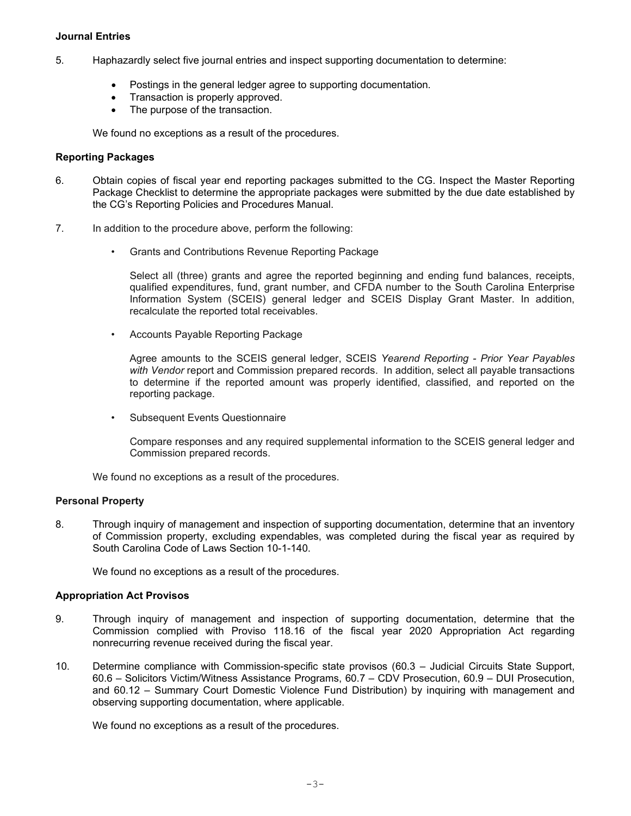#### **Journal Entries**

- 5. Haphazardly select five journal entries and inspect supporting documentation to determine:
	- Postings in the general ledger agree to supporting documentation.
	- Transaction is properly approved.
	- The purpose of the transaction.

We found no exceptions as a result of the procedures.

#### **Reporting Packages**

- 6. Obtain copies of fiscal year end reporting packages submitted to the CG. Inspect the Master Reporting Package Checklist to determine the appropriate packages were submitted by the due date established by the CG's Reporting Policies and Procedures Manual.
- 7. In addition to the procedure above, perform the following:
	- Grants and Contributions Revenue Reporting Package

Select all (three) grants and agree the reported beginning and ending fund balances, receipts, qualified expenditures, fund, grant number, and CFDA number to the South Carolina Enterprise Information System (SCEIS) general ledger and SCEIS Display Grant Master. In addition, recalculate the reported total receivables.

• Accounts Payable Reporting Package

Agree amounts to the SCEIS general ledger, SCEIS *Yearend Reporting - Prior Year Payables with Vendor* report and Commission prepared records. In addition, select all payable transactions to determine if the reported amount was properly identified, classified, and reported on the reporting package.

• Subsequent Events Questionnaire

Compare responses and any required supplemental information to the SCEIS general ledger and Commission prepared records.

We found no exceptions as a result of the procedures.

#### **Personal Property**

8. Through inquiry of management and inspection of supporting documentation, determine that an inventory of Commission property, excluding expendables, was completed during the fiscal year as required by South Carolina Code of Laws Section 10-1-140.

We found no exceptions as a result of the procedures.

## **Appropriation Act Provisos**

- 9. Through inquiry of management and inspection of supporting documentation, determine that the Commission complied with Proviso 118.16 of the fiscal year 2020 Appropriation Act regarding nonrecurring revenue received during the fiscal year.
- 10. Determine compliance with Commission-specific state provisos (60.3 Judicial Circuits State Support, 60.6 – Solicitors Victim/Witness Assistance Programs, 60.7 – CDV Prosecution, 60.9 – DUI Prosecution, and 60.12 – Summary Court Domestic Violence Fund Distribution) by inquiring with management and observing supporting documentation, where applicable.

We found no exceptions as a result of the procedures.